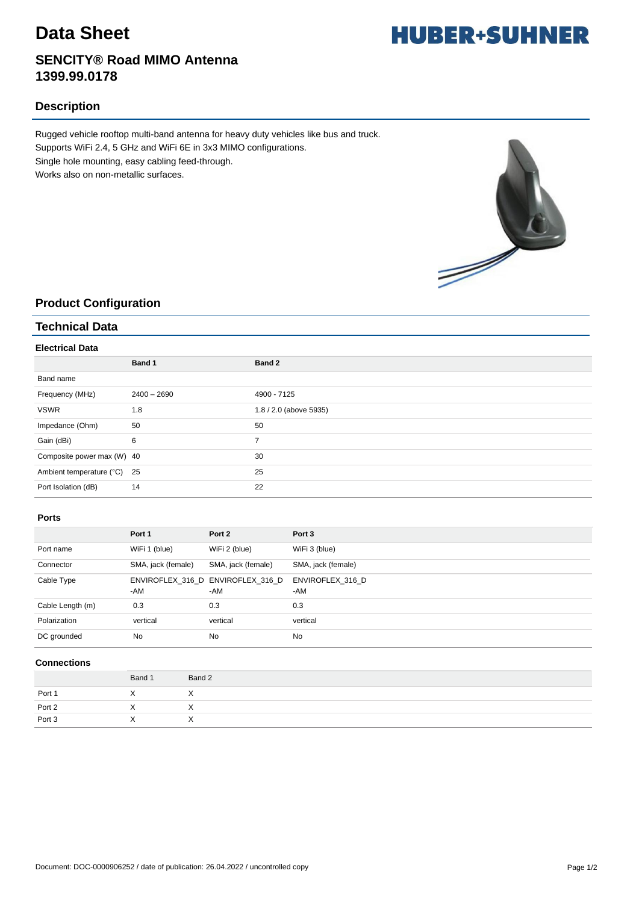## **Data Sheet**

## **SENCITY® Road MIMO Antenna 1399.99.0178**

## **Description**

Rugged vehicle rooftop multi-band antenna for heavy duty vehicles like bus and truck. Supports WiFi 2.4, 5 GHz and WiFi 6E in 3x3 MIMO configurations. Single hole mounting, easy cabling feed-through. Works also on non-metallic surfaces.



## **Product Configuration**

### **Technical Data**

#### **Electrical Data**

|                             | Band 1        | Band 2                 |
|-----------------------------|---------------|------------------------|
| Band name                   |               |                        |
| Frequency (MHz)             | $2400 - 2690$ | 4900 - 7125            |
| <b>VSWR</b>                 | 1.8           | 1.8 / 2.0 (above 5935) |
| Impedance (Ohm)             | 50            | 50                     |
| Gain (dBi)                  | 6             | $\overline{ }$         |
| Composite power max (W) 40  |               | 30                     |
| Ambient temperature (°C) 25 |               | 25                     |
| Port Isolation (dB)         | 14            | 22                     |

#### **Ports**

|                  | Port 1             | Port 2                                   | Port 3                  |
|------------------|--------------------|------------------------------------------|-------------------------|
| Port name        | WiFi 1 (blue)      | WiFi 2 (blue)                            | WiFi 3 (blue)           |
| Connector        | SMA, jack (female) | SMA, jack (female)                       | SMA, jack (female)      |
| Cable Type       | -AM                | ENVIROFLEX 316 D ENVIROFLEX 316 D<br>-AM | ENVIROFLEX 316 D<br>-AM |
| Cable Length (m) | 0.3                | 0.3                                      | 0.3                     |
| Polarization     | vertical           | vertical                                 | vertical                |
| DC grounded      | <b>No</b>          | <b>No</b>                                | <b>No</b>               |

#### **Connections**

|                            | Band 1    | Band 2    |
|----------------------------|-----------|-----------|
|                            |           |           |
| Port 1<br>Port 2<br>Port 3 |           |           |
|                            | $\lambda$ | $\lambda$ |